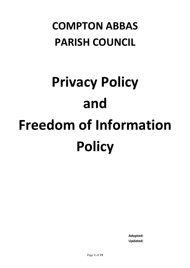# **COMPTON ABBAS PARISH COUNCIL**

# **Privacy Policy and Freedom of Information Policy**

**Adopted:**  $\blacksquare$   $\blacksquare$   $\blacksquare$   $\blacksquare$   $\blacksquare$   $\blacksquare$   $\blacksquare$   $\blacksquare$   $\blacksquare$   $\blacksquare$   $\blacksquare$   $\blacksquare$   $\blacksquare$   $\blacksquare$   $\blacksquare$   $\blacksquare$   $\blacksquare$   $\blacksquare$   $\blacksquare$   $\blacksquare$   $\blacksquare$   $\blacksquare$   $\blacksquare$   $\blacksquare$   $\blacksquare$   $\blacksquare$   $\blacksquare$   $\blacksquare$   $\blacksquare$   $\blacksquare$   $\blacksquare$   $\blacks$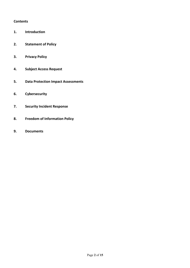#### **Contents**

- **1. Introduction**
- **2. Statement of Policy**
- **3. Privacy Policy**
- **4. Subject Access Request**
- **5. Data Protection Impact Assessments**
- **6. Cybersecurity**
- **7.** Security Incident Response
- **8. Freedom of Information Policy**
- **9. Documents**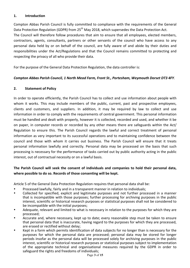# **1. Introduction**

Compton Abbas Parish Council is fully committed to compliance with the requirements of the General Data Protection Regulation (GDPR) from 25<sup>th</sup> May 2018, which supersedes the Data Protection Act. The Council will therefore follow procedures that aim to ensure that all employees, elected members, contractors, agents, consultants, partners or other servants of the council who have access to any personal data held by or on behalf of the council, are fully aware of and abide by their duties and responsibilities under the Act/Regulations and that the Council remains committed to protecting and respecting the privacy of all who provide their data.

For the purpose of the General Data Protection Regulation, the data controller is:

# *Compton Abbas Parish Council, 1 North Mead Farm, Front St., Portesham, Weymouth Dorset DT3 4FY*.

# **2. Statement of Policy**

In order to operate efficiently, the Parish Council has to collect and use information about people with whom it works. This may include members of the public, current, past and prospective employees, clients and customers, and suppliers. In addition, it may be required by law to collect and use information in order to comply with the requirements of central government. This personal information must be handled and dealt with properly, however it is collected, recorded and used, and whether it be on paper, in computer records or recorded by any other means there are safeguards within the Act/ Regulation to ensure this. The Parish Council regards the lawful and correct treatment of personal information as very important to its successful operations and to maintaining confidence between the council and those with whom it carries out business. The Parish Council will ensure that it treats personal information lawfully and correctly. Personal data may be processed on the basis that such processing is necessary for the performance of tasks carried out by public authority acting in the public interest, out of contractual necessity or on a lawful basis.

# **The Parish Council will seek the consent of individuals and companies to hold their personal data,** where possible to do so. Records of those consenting will be kept.

Article 5 of the General Data Protection Regulation requires that personal data shall be:

- Processed lawfully, fairly and in a transparent manner in relation to individuals;
- Collected for specified, explicit and legitimate purposes and not further processed in a manner that is incompatible with those purposes; further processing for archiving purposes in the public interest, scientific or historical research purposes or statistical purposes shall not be considered to be incompatible with the initial purposes;
- Adequate, relevant and limited to what is necessary in relation to the purposes for which they are processed;
- Accurate and, where necessary, kept up to date; every reasonable step must be taken to ensure that personal data that is inaccurate, having regard to the purposes for which they are processed. are erased or rectified without delay;
- Kept in a form which permits identification of data subjects for no longer than is necessary for the purposes for which the personal data are processed; personal data may be stored for longer periods insofar as the personal data will be processed solely for archiving purposes in the public interest, scientific or historical research purposes or statistical purposes subject to implementation of the appropriate technical and organisational measures required by the GDPR in order to safeguard the rights and freedoms of individuals;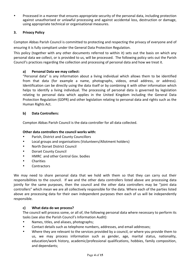• Processed in a manner that ensures appropriate security of the personal data, including protection against unauthorised or unlawful processing and against accidental loss, destruction or damage, using appropriate technical or organisational measures.

# **3. Privacy Policy**

Compton Abbas Parish Council is committed to protecting and respecting the privacy of everyone and of ensuring it is fully compliant under the General Data Protection Regulation.

This policy (together with any other documents referred to within it) sets out the basis on which any personal data we collect, or is provided to us, will be processed. The following policy sets out the Parish Council's practices regarding the collection and processing of personal data and how we treat it.

# **a) Personal Data we may collect:**

"Personal data" is any information about a living individual which allows them to be identified from that data (for example a name, photographs, videos, email address, or address). Identification can be directly using the data itself or by combining it with other information which helps to identify a living individual. The processing of personal data is governed by legislation relating to personal data which applies in the United Kingdom including the General Data Protection Regulation (GDPR) and other legislation relating to personal data and rights such as the Human Rights Act.

# **b) Data Controllers:**

Compton Abbas Parish Council is the data controller for all data collected.

#### **Other data controllers the council works with:**

- Parish, District and County Councillors
- Local groups and organisations (Volunteers/Allotment holders)
- North Dorset District Council
- Dorset County Council
- HMRC and other Central Gov. bodies
- Charities
- Contractors

We may need to share personal data that we hold with them so that they can carry out their responsibilities to the council. If we and the other data controllers listed above are processing data jointly for the same purposes, then the council and the other data controllers may be "joint data controllers" which mean we are all collectively responsible for the data. Where each of the parties listed above are processing data for their own independent purposes then each of us will be independently responsible.

# **c) What data do we process?**

The council will process some, or all of, the following personal data where necessary to perform its tasks (see also the Parish Council's Information Audit):

- Names, titles, and aliases, photographs;
- Contact details such as telephone numbers, addresses, and email addresses;
- Where they are relevant to the services provided by a council, or where you provide them to us, we may process information such as gender, age, marital status, nationality, education/work history, academic/professional qualifications, hobbies, family composition, and dependants;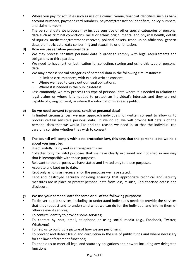- Where you pay for activities such as use of a council venue, financial identifiers such as bank account numbers, payment card numbers, payment/transaction identifiers, policy numbers, and claim numbers.
- The personal data we process may include sensitive or other special categories of personal data such as criminal convictions, racial or ethnic origin, mental and physical health, details of injuries, medication/treatment received, political beliefs, trade union affiliation, genetic data, biometric data, data concerning and sexual life or orientation.

# **d)** How we use sensitive personal data

- We may process sensitive personal data in order to comply with legal requirements and obligations to third parties.
- We need to have further justification for collecting, storing and using this type of personal data.
- We may process special categories of personal data in the following circumstances:
	- In limited circumstances, with explicit written consent.
	- Where we need to carry out our legal obligations.
	- Where it is needed in the public interest.
- Less commonly, we may process this type of personal data where it is needed in relation to legal claims or where it is needed to protect an individual's interests and they are not capable of giving consent, or where the information is already public.

# **e)** Do we need consent to process sensitive personal data?

In limited circumstances, we may approach individuals for written consent to allow us to process certain sensitive personal data. If we do so, we will provide full details of the personal data that we would like and the reason we need it, so that the individual can carefully consider whether they wish to consent.

# f) The council will comply with data protection law, this says that the personal data we hold about you must be:

- Used lawfully, fairly and in a transparent way.
- Collected only for valid purposes that we have clearly explained and not used in any way that is incompatible with those purposes.
- Relevant to the purposes we have stated and limited only to those purposes.
- Accurate and kept up to date.
- Kept only as long as necessary for the purposes we have stated.
- Kept and destroyed securely including ensuring that appropriate technical and security measures are in place to protect personal data from loss, misuse, unauthorised access and disclosure.

# g) We use your personal data for some or all of the following purposes:

- To deliver public services, including to understand individuals needs to provide the services that they request and to understand what we can do for the individual and inform them of other relevant services;
- To confirm identity to provide some services;
- To contact by post, email, telephone or using social media (e.g., Facebook, Twitter, WhatsApp);
- To help us to build up a picture of how we are performing;
- To prevent and detect fraud and corruption in the use of public funds and where necessary for the law enforcement functions;
- To enable us to meet all legal and statutory obligations and powers including any delegated functions;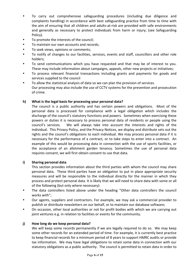- To carry out comprehensive safeguarding procedures (including due diligence and complaints handling) in accordance with best safeguarding practice from time to time with the aim of ensuring that all children and adults-at-risk are provided with safe environments and generally as necessary to protect individuals from harm or injury; (see Safeguarding Policy).
- To promote the interests of the council;
- To maintain our own accounts and records;
- To seek views, opinions or comments;
- To notify of changes to our facilities, services, events and staff, councillors and other role holders;
- To send communications which you have requested and that may be of interest to you. These may include information about campaigns, appeals, other new projects or initiatives;
- To process relevant financial transactions including grants and payments for goods and services supplied to the council
- To allow the statistical analysis of data so we can plan the provision of services. Our processing may also include the use of CCTV systems for the prevention and prosecution of crime.

# h) What is the legal basis for processing your personal data?

The council is a public authority and has certain powers and obligations. Most of the personal data is processed for compliance with a legal obligation which includes the discharge of the council's statutory functions and powers. Sometimes when exercising these powers or duties it is necessary to process personal data of residents or people using the council's services. We will always take into account the interests and rights of the individual. This Privacy Policy, and the Privacy Notices, we display and distribute sets out the rights and the council's obligations to each individual. We may process personal data if it is necessary for the performance of a contract, or to take steps to enter into a contract. An example of this would be processing data in connection with the use of sports facilities, or the acceptance of an allotment garden tenancy. Sometimes the use of personal data requires consent, we will first obtain consent to use that data.

#### **i)** Sharing personal data

This section provides information about the third parties with whom the council may share personal data. These third parties have an obligation to put in place appropriate security measures and will be responsible to the individual directly for the manner in which they process and protect personal data. It is likely that we will need to share data with some or all of the following (but only where necessary):

- The data controllers listed above under the heading "Other data controllers the council works with";
- Our agents, suppliers and contractors. For example, we may ask a commercial provider to publish or distribute newsletters on our behalf, or to maintain our database software;
- On occasion, other local authorities or not for profit bodies with which we are carrying out joint ventures e.g. in relation to facilities or events for the community.

#### **j)** How long do we keep personal data?

We will keep some records permanently if we are legally required to do so. We may keep some other records for an extended period of time. For example, it is currently best practice to keep financial records for a minimum period of 8 years to support HMRC audits or provide tax information. We may have legal obligations to retain some data in connection with our statutory obligations as a public authority. The council is permitted to retain data in order to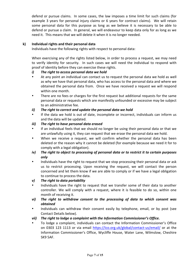defend or pursue claims. In some cases, the law imposes a time limit for such claims (for example 3 years for personal injury claims or 6 years for contract claims). We will retain some personal data for this purpose as long as we believe it is necessary to be able to defend or pursue a claim. In general, we will endeavour to keep data only for as long as we need it. This means that we will delete it when it is no longer needed.

# **k) Individual rights and their personal data**

Individuals have the following rights with respect to personal data:

When exercising any of the rights listed below, in order to process a request, we may need to verify identity for security. In such cases we will need the individual to respond with proof of identity before they can exercise these rights.

#### *i*) The right to access personal data we hold

- At any point an individual can contact us to request the personal data we hold as well as why we have that personal data, who has access to the personal data and where we obtained the personal data from. Once we have received a request we will respond within one month.
- There are no fees or charges for the first request but additional requests for the same personal data or requests which are manifestly unfounded or excessive may be subject to an administrative fee.

#### *ii*) The right to correct and update the personal data we hold

If the data we hold is out of date, incomplete or incorrect, individuals can inform us and the data will be updated.

#### *iii*) The right to have personal data erased

- If an individual feels that we should no longer be using their personal data or that we are unlawfully using it, they can request that we erase the personal data we hold.
- When we receive a request, we will confirm whether the personal data has been deleted or the reason why it cannot be deleted (for example because we need it for to comply with a legal obligation).
- *iv*) The right to object to processing of personal data or to restrict it to certain purposes *only*
- Individuals have the right to request that we stop processing their personal data or ask us to restrict processing. Upon receiving the request, we will contact the person concerned and let them know if we are able to comply or if we have a legal obligation to continue to process the data.
- *v*) The right to data portability
- Individuals have the right to request that we transfer some of their data to another controller. We will comply with a request, where it is feasible to do so, within one month of receiving it.
- *vi*) The right to withdraw consent to the processing of data to which consent was *obtained*
- Individuals can withdraw their consent easily by telephone, email, or by post (see Contact Details below).
- *vii*) The right to lodge a complaint with the Information Commissioner's Office.
- To lodge a complaint, individuals can contact the Information Commissioner's Office on 0303 123 1113 or via email https://ico.org.uk/global/contact-us/email/ or at the Information Commissioner's Office, Wycliffe House, Water Lane, Wilmslow, Cheshire SK9 5AF.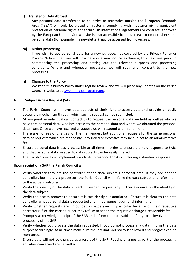# **l)** Transfer of Data Abroad

Any personal data transferred to countries or territories outside the European Economic Area ("EEA") will only be placed on systems complying with measures giving equivalent protection of personal rights either through international agreements or contracts approved by the European Union. Our website is also accessible from overseas so on occasion some personal data (for example in a newsletter) may be accessed from overseas.

#### **m)** Further processing

If we wish to use personal data for a new purpose, not covered by the Privacy Policy or Privacy Notice, then we will provide you a new notice explaining this new use prior to commencing the processing and setting out the relevant purposes and processing conditions. Where and whenever necessary, we will seek prior consent to the new processing.

#### **n)** Changes to the Policy

We keep this Privacy Policy under regular review and we will place any updates on the Parish Council's website at www.chesilbankparish.org.

#### **4. Subject Access Request (SAR)**

- The Parish Council will inform data subjects of their right to access data and provide an easily accessible mechanism through which such a request can be submitted.
- At any point an individual can contact us to request the personal data we hold as well as why we have that personal data, who has access to the personal data and where we obtained the personal data from. Once we have received a request we will respond within one month.
- There are no fees or charges for the first request but additional requests for the same personal data or requests which are manifestly unfounded or excessive may be subject to an administrative fee.
- Ensure personal data is easily accessible at all times in order to ensure a timely response to SARs and that personal data on specific data subjects can be easily filtered.
- The Parish Council will implement standards to respond to SARs, including a standard response.

# **Upon receipt of a SAR the Parish Council will;**

- Verify whether they are the controller of the data subject's personal data. If they are not the controller, but merely a processor, the Parish Council will inform the data subject and refer them to the actual controller.
- Verify the identity of the data subject; if needed, request any further evidence on the identity of the data subject.
- Verify the access request to ensure it is sufficiently substantiated. Ensure it is clear to the data controller what personal data is requested and If not request additional information.
- Verify whether requests are unfounded or excessive (in particular because of their repetitive character); if so, the Parish Council may refuse to act on the request or charge a reasonable fee.
- Promptly acknowledge receipt of the SAR and inform the data subject of any costs involved in the processing of the SAR.
- Verify whether you process the data requested. If you do not process any data, inform the data subject accordingly. At all times make sure the internal SAR policy is followed and progress can be monitored.
- Ensure data will not be changed as a result of the SAR. Routine changes as part of the processing activities concerned are permitted.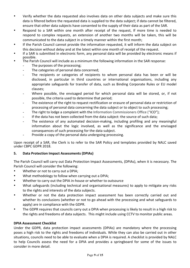- Verify whether the data requested also involves data on other data subjects and make sure this data is filtered before the requested data is supplied to the data subject; if data cannot be filtered, ensure that other data subjects have consented to the supply of their data as part of the SAR.
- Respond to a SAR within one month after receipt of the request, If more time is needed to respond to complex requests, an extension of another two months will be taken, this will be communicated to the data subject in a timely manner within the first month;
- If the Parish Council cannot provide the information requested, it will inform the data subject on this decision without delay and at the latest within one month of receipt of the request.
- If a SAR is submitted in electronic form, any personal data will be provided by electronic means if possible.
- The Parish Council will include as a minimum the following information in the SAR response:
	- The purposes of the processing;
	- The categories of personal data concerned;
	- The recipients or categories of recipients to whom personal data has been or will be disclosed, in particular in third countries or international organisations, including any appropriate safeguards for transfer of data, such as Binding Corporate Rules or EU model clauses;
	- Where possible, the envisaged period for which personal data will be stored, or, if not possible, the criteria used to determine that period;
	- The existence of the right to request rectification or erasure of personal data or restriction of processing of personal data concerning the data subject or to object to such processing;
	- The right to lodge a complaint with the Information Commissioners Office ("ICO");
	- If the data has not been collected from the data subject: the source of such data;
	- The existence of any automated decision-making, including profiling and any meaningful information about the logic involved, as well as the significance and the envisaged consequences of such processing for the data subject.
	- Provide a copy of the personal data undergoing processing.

Upon receipt of a SAR, the Clerk is to refer to the SAR Policy and templates provided by NALC saved under CBPC GDPR 2018.

# **5.** Data Protection Impact Assessments (DPIAs)

The Parish Council will carry out Data Protection Impact Assessments, (DPIAs), when it is necessary. The Parish Council will consider the following:

- Whether or not to carry out a DPIA;
- What methodology to follow when carrying out a DPIA:
- Whether to carry out the DPIA in-house or whether to outsource
- What safeguards (including technical and organisational measures) to apply to mitigate any risks to the rights and interests of the data subjects.
- Whether or not the data protection impact assessment has been correctly carried out and whether its conclusions (whether or not to go ahead with the processing and what safeguards to apply) are in compliance with the GDPR.
- The GDPR requires that councils carry out a DPIA when processing is likely to result in a high risk to the rights and freedoms of data subjects. This might include using CCTV to monitor public areas.

# **DPIA Assessment Checklist**

Under the GDPR, data protection impact assessments (DPIAs) are mandatory where the processing poses a high risk to the rights and freedoms of individuals. While they can also be carried out in other situations, councils need to be able to evaluate when a DPIA is required. A checklist is provided by NALC to help Councils assess the need for a DPIA and provides a springboard for some of the issues to consider in more detail.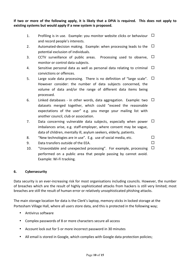If two or more of the following apply, it is likely that a DPIA is required. This does not apply to **existing systems but would apply if a new system is proposed.** 

- 1. Profiling is in use. Example: you monitor website clicks or behaviour  $\Box$ and record people's interests.
- 2. Automated-decision making. Example: when processing leads to the  $\Box$ potential exclusion of individuals.
- 3. CCTV surveillance of public areas. Processing used to observe,  $\Box$ monitor or control data subjects.
- 4. Sensitive personal data as well as personal data relating to criminal  $\Box$ convictions or offences.
- 5. Large scale data processing. There is no definition of "large scale".  $\Box$ However consider: the number of data subjects concerned, the volume of data and/or the range of different data items being processed.
- 6. Linked databases in other words, data aggregation. Example: two  $\Box$ datasets merged together, which could "exceed the reasonable expectations of the user" e.g. you merge your mailing list with another council, club or association.
- 7. Data concerning vulnerable data subjects, especially when power  $\Box$ imbalances arise, e.g. staff-employer, where consent may be vague, data of children, mentally ill, asylum seekers, elderly, patients.
- 8. "New technologies are in use". E.g. use of social media, etc.  $\Box$

- 9. Data transfers outside of the EEA.  $\Box$
- 10. "Unavoidable and unexpected processing". For example, processing  $\Box$ performed on a public area that people passing by cannot avoid. Example: Wi-Fi tracking.

# **6. Cybersecurity**

Data security is an ever-increasing risk for most organisations including councils. However, the number of breaches which are the result of highly sophisticated attacks from hackers is still very limited; most breaches are still the result of human error or relatively unsophisticated phishing attacks.

The main storage location for data is the Clerk's laptop, memory sticks in locked storage at the Portesham Village Hall, where all users store data, and this is protected in the following way;

- Antivirus software
- Complex passwords of 8 or more characters secure all access
- Account lock out for 5 or more incorrect password in 30 minutes
- All email is stored in Google, which complies with Google data protection policies;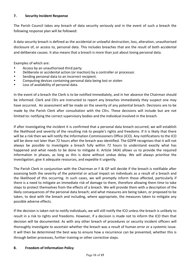# **7. Security Incident Response**

The Parish Council takes any breach of data security seriously and in the event of such a breach the following response plan will be followed:

A data security breach is defined as the accidental or unlawful destruction, loss, alteration, unauthorised disclosure of, or access to, personal data. This includes breaches that are the result of both accidental and deliberate causes. It also means that a breach is more than just about losing personal data.

Examples of which are:

- Access by an unauthorised third party.
- Deliberate or accidental action (or inaction) by a controller or processor.
- Sending personal data to an incorrect recipient.
- Computing devices containing personal data being lost or stolen
- Loss of availability of personal data.

In the event of a breach the Clerk is to be notified immediately, and in her absence the Chairman should be informed. Clerk and Cllrs are instructed to report any breaches immediately they suspect one may have occurred. An assessment will be made on the severity of any potential breach. Decisions are to be made by the Parish Clerk after consultation with the Cllrs. These decisions will include but are not limited to: notifying the correct supervisory bodies and the individual involved in the breach.

If after investigating the incident it is confirmed that a personal data breach occurred, we will establish the likelihood and severity of the resulting risk to people's rights and freedoms. If it is likely that there will be a risk then we will notify the Information Commissioners Office (ICO). Any notifications to the ICO will be done not later than 72 hours after the breach was identified. The GDPR recognises that it will not always be possible to investigate a breach fully within 72 hours to understand exactly what has happened and what needs to be done to mitigate it. Article 34(4) allows us to provide the required information in phases, as long as this is done without undue delay. We will always prioritise the investigation, give it adequate resources, and expedite it urgently.

The Parish Clerk in conjunction with the Chairman or F & GP will decide if the breach is notifiable after assessing both the severity of the potential or actual impact on individuals as a result of a breach and the likelihood of this occurring. In such cases, we will promptly inform those affected, particularly if there is a need to mitigate an immediate risk of damage to them, therefore allowing them time to take steps to protect themselves from the effects of a breach. We will provide them with a description of the likely consequences of the personal data breach; and what measures are being taken, or proposed to be taken, to deal with the breach and including, where appropriate, the measures taken to mitigate any possible adverse effects.

If the decision is taken not to notify individuals, we will still notify the ICO unless the breach is unlikely to result in a risk to rights and freedoms. However, if a decision is made not to inform the ICO then that decision will be documented. As with any other breach of procedures or security incident officers will thoroughly investigate to ascertain whether the breach was a result of human error or a systemic issue. It will then be determined the best way to ensure how a recurrence can be prevented, whether this is through better processes, further training or other corrective steps.

#### **8. Freedom of Information Policy**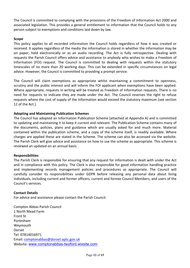The Council is committed to complying with the provisions of the Freedom of Information Act 2000 and associated legislation. This provides a general entitlement to information that the Council holds to any person subject to exemptions and conditions laid down by law.

#### **Scope**

This policy applies to all recorded information the Council holds regardless of how it was created or received. It applies regardless of the media the information is stored in whether the information may be on paper, held electronically or as an audio recording. The Act is fully retrospective. Dealing with requests the Parish Council offers advice and assistance to anybody who wishes to make a Freedom of Information (FOI) request. The Council is committed to dealing with requests within the statutory timescales of no more than 20 working days. This can be extended in specific circumstances on legal advice. However, the Council is committed to providing a prompt service.

The Council will claim exemptions as appropriate whilst maintaining a commitment to openness, scrutiny and the public interest and will inform the FOI applicant when exemptions have been applied. Where appropriate, requests in writing will be treated as Freedom of Information requests. There is no need for requests to indicate they are made under the Act. The Council reserves the right to refuse requests where the cost of supply of the information would exceed the statutory maximum (see section 12 of the Act.).

#### **Adopting and Maintaining Publication Schemes**

The Council has adopted an Information Publication Scheme (attached at Appendix A) and is committed to updating and maintaining it to keep it current and relevant. The Publication Scheme contains many of the documents, policies, plans and guidance which are usually asked for and much more. Material contained within the publication scheme, and a copy of the scheme itself, is readily available. Where charges are applied these are stated in the Scheme. The scheme can also be accessed via the website. The Parish Clerk will give advice and assistance on how to use the scheme as appropriate. This scheme is reviewed an updated on an annual basis.

#### **Responsibilities**

The Parish Clerk is responsible for ensuring that any request for information is dealt with under the Act and in compliance with this policy. The Clerk is also responsible for good information handling practice and implementing records management policies and procedures as appropriate. The Council will carefully consider its responsibilities under GDPR before releasing any personal data about living individuals, including current and former officers, current and former Council Members, and users of the Council's services.

#### **Contact Details**

For advice and assistance please contact the Parish Council:

Compton Abbas Parish Council 1 North Mead Farm Front St Portesham Weymouth Dorset Tel: 07814016971 Email: comptonabbas@dorset-aptc.gov.uk Website: www.comptonabbas-twyford.wixsite.com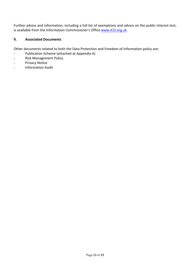Further advice and information, including a full list of exemptions and advice on the public interest test, is available from the Information Commissioner's Office www.ICO.org.uk.

# **9. Associated Documents**

Other documents related to both the Data Protection and Freedom of information policy are:

- Publication Scheme (attached at Appendix A)
- Risk Management Policy
- **Privacy Notice**
- Information Audit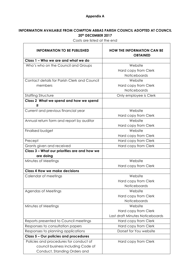# **Appendix A**

# **INFORMATION AVAILABLE FROM COMPTON ABBAS PARISH COUNCIL ADOPTED AT COUNCIL 20th DECEMBER 2017**

| <b>INFORMATION TO BE PUBLISHED</b>           | <b>HOW THE INFORMATION CAN BE</b><br><b>OBTAINED</b> |
|----------------------------------------------|------------------------------------------------------|
| Class 1 - Who we are and what we do          |                                                      |
| Who's who on the Council and Groups          | Website                                              |
|                                              | Hard copy from Clerk                                 |
|                                              | <b>Noticeboards</b>                                  |
| Contact details for Parish Clerk and Council | Website                                              |
| members                                      | Hard copy from Clerk                                 |
|                                              | Noticeboards                                         |
| <b>Staffing Structure</b>                    | Only employee is Clerk                               |
| Class 2 What we spend and how we spend<br>ĭt |                                                      |
| Current and previous financial year          | Website                                              |
|                                              | Hard copy from Clerk                                 |
| Annual return form and report by auditor     | Website                                              |
|                                              | Hard copy from Clerk                                 |
| Finalised budget                             | Website                                              |
|                                              | Hard copy from Clerk                                 |
| Precept                                      | Hard copy from Clerk                                 |
| Grants given and received                    | Hard copy from Clerk                                 |
| Class 3 - What our priorities are and how we |                                                      |
| are doing                                    |                                                      |
| Minutes of Meetings                          | Website                                              |
|                                              | Hard copy from Clerk                                 |
| <b>Class 4 How we make decisions</b>         |                                                      |
| Calendar of meetings                         | Website                                              |
|                                              | Hard copy from Clerk                                 |
|                                              | Noticeboards                                         |
| Agendas of Meetings                          | Website                                              |
|                                              | Hard copy from Clerk                                 |
|                                              | Noticeboards                                         |
| Minutes of Meetings                          | Website                                              |
|                                              | Hard copy from Clerk                                 |
|                                              | Last draft Minutes Noticeboards                      |
| Reports presented to Council meetings        | Hard copy from Clerk                                 |
| Responses to consultation papers             | Hard copy from Clerk                                 |
| Responses to planning applications           | Dorset for You website                               |
| Class 5 - Our policies and procedures        |                                                      |
| Policies and procedures for conduct of       | Hard copy from Clerk                                 |
| council business including Code of           |                                                      |
| Conduct, Standing Orders and                 |                                                      |

Costs are listed at the end

÷